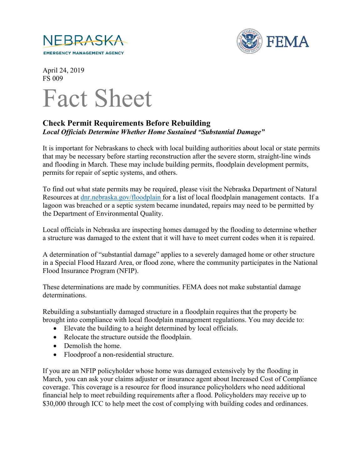



April 24, 2019 FS 009



## **Check Permit Requirements Before Rebuilding** *Local Officials Determine Whether Home Sustained "Substantial Damage"*

It is important for Nebraskans to check with local building authorities about local or state permits that may be necessary before starting reconstruction after the severe storm, straight-line winds and flooding in March. These may include building permits, floodplain development permits, permits for repair of septic systems, and others.

To find out what state permits may be required, please visit the Nebraska Department of Natural Resources at [dnr.nebraska.gov/floodplain](https://dnr.nebraska.gov/floodplain) for a list of local floodplain management contacts. If a lagoon was breached or a septic system became inundated, repairs may need to be permitted by the Department of Environmental Quality.

Local officials in Nebraska are inspecting homes damaged by the flooding to determine whether a structure was damaged to the extent that it will have to meet current codes when it is repaired.

A determination of "substantial damage" applies to a severely damaged home or other structure in a Special Flood Hazard Area, or flood zone, where the community participates in the National Flood Insurance Program (NFIP).

These determinations are made by communities. FEMA does not make substantial damage determinations.

Rebuilding a substantially damaged structure in a floodplain requires that the property be brought into compliance with local floodplain management regulations. You may decide to:

- Elevate the building to a height determined by local officials.
- Relocate the structure outside the floodplain.
- Demolish the home.
- Floodproof a non-residential structure.

If you are an NFIP policyholder whose home was damaged extensively by the flooding in March, you can ask your claims adjuster or insurance agent about Increased Cost of Compliance coverage. This coverage is a resource for flood insurance policyholders who need additional financial help to meet rebuilding requirements after a flood. Policyholders may receive up to \$30,000 through ICC to help meet the cost of complying with building codes and ordinances.